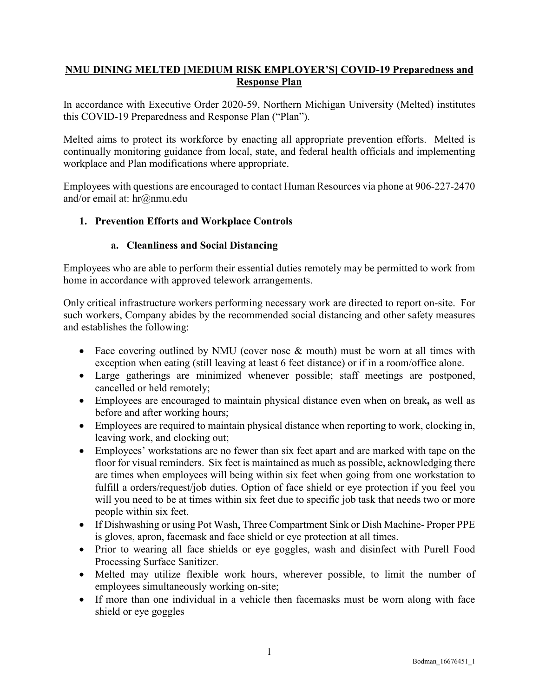## **NMU DINING MELTED [MEDIUM RISK EMPLOYER'S] COVID-19 Preparedness and Response Plan**

In accordance with Executive Order 2020-59, Northern Michigan University (Melted) institutes this COVID-19 Preparedness and Response Plan ("Plan").

Melted aims to protect its workforce by enacting all appropriate prevention efforts. Melted is continually monitoring guidance from local, state, and federal health officials and implementing workplace and Plan modifications where appropriate.

Employees with questions are encouraged to contact Human Resources via phone at 906-227-2470 and/or email at: hr@nmu.edu

## **1. Prevention Efforts and Workplace Controls**

## **a. Cleanliness and Social Distancing**

Employees who are able to perform their essential duties remotely may be permitted to work from home in accordance with approved telework arrangements.

Only critical infrastructure workers performing necessary work are directed to report on-site. For such workers, Company abides by the recommended social distancing and other safety measures and establishes the following:

- Face covering outlined by NMU (cover nose  $\&$  mouth) must be worn at all times with exception when eating (still leaving at least 6 feet distance) or if in a room/office alone.
- Large gatherings are minimized whenever possible; staff meetings are postponed, cancelled or held remotely;
- Employees are encouraged to maintain physical distance even when on break**,** as well as before and after working hours;
- Employees are required to maintain physical distance when reporting to work, clocking in, leaving work, and clocking out;
- Employees' workstations are no fewer than six feet apart and are marked with tape on the floor for visual reminders. Six feet is maintained as much as possible, acknowledging there are times when employees will being within six feet when going from one workstation to fulfill a orders/request/job duties. Option of face shield or eye protection if you feel you will you need to be at times within six feet due to specific job task that needs two or more people within six feet.
- If Dishwashing or using Pot Wash, Three Compartment Sink or Dish Machine- Proper PPE is gloves, apron, facemask and face shield or eye protection at all times.
- Prior to wearing all face shields or eye goggles, wash and disinfect with Purell Food Processing Surface Sanitizer.
- Melted may utilize flexible work hours, wherever possible, to limit the number of employees simultaneously working on-site;
- If more than one individual in a vehicle then facemasks must be worn along with face shield or eye goggles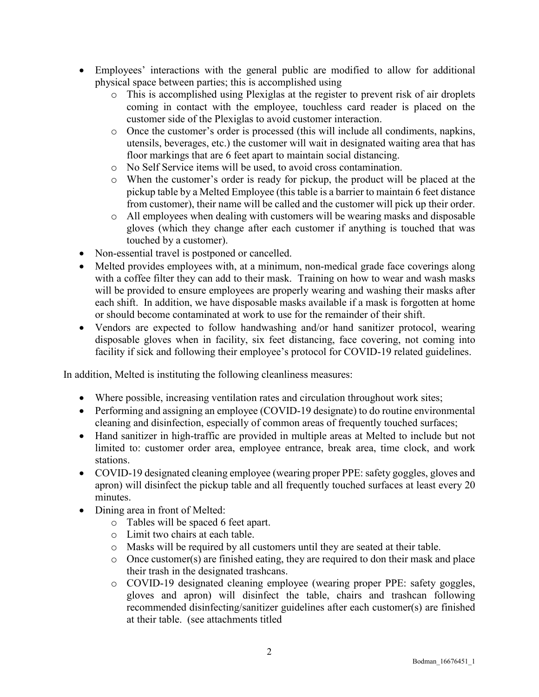- Employees' interactions with the general public are modified to allow for additional physical space between parties; this is accomplished using
	- o This is accomplished using Plexiglas at the register to prevent risk of air droplets coming in contact with the employee, touchless card reader is placed on the customer side of the Plexiglas to avoid customer interaction.
	- o Once the customer's order is processed (this will include all condiments, napkins, utensils, beverages, etc.) the customer will wait in designated waiting area that has floor markings that are 6 feet apart to maintain social distancing.
	- o No Self Service items will be used, to avoid cross contamination.
	- o When the customer's order is ready for pickup, the product will be placed at the pickup table by a Melted Employee (this table is a barrier to maintain 6 feet distance from customer), their name will be called and the customer will pick up their order.
	- o All employees when dealing with customers will be wearing masks and disposable gloves (which they change after each customer if anything is touched that was touched by a customer).
- Non-essential travel is postponed or cancelled.
- Melted provides employees with, at a minimum, non-medical grade face coverings along with a coffee filter they can add to their mask. Training on how to wear and wash masks will be provided to ensure employees are properly wearing and washing their masks after each shift. In addition, we have disposable masks available if a mask is forgotten at home or should become contaminated at work to use for the remainder of their shift.
- Vendors are expected to follow handwashing and/or hand sanitizer protocol, wearing disposable gloves when in facility, six feet distancing, face covering, not coming into facility if sick and following their employee's protocol for COVID-19 related guidelines.

In addition, Melted is instituting the following cleanliness measures:

- Where possible, increasing ventilation rates and circulation throughout work sites;
- Performing and assigning an employee (COVID-19 designate) to do routine environmental cleaning and disinfection, especially of common areas of frequently touched surfaces;
- Hand sanitizer in high-traffic are provided in multiple areas at Melted to include but not limited to: customer order area, employee entrance, break area, time clock, and work stations.
- COVID-19 designated cleaning employee (wearing proper PPE: safety goggles, gloves and apron) will disinfect the pickup table and all frequently touched surfaces at least every 20 minutes.
- Dining area in front of Melted:
	- o Tables will be spaced 6 feet apart.
	- o Limit two chairs at each table.
	- o Masks will be required by all customers until they are seated at their table.
	- o Once customer(s) are finished eating, they are required to don their mask and place their trash in the designated trashcans.
	- o COVID-19 designated cleaning employee (wearing proper PPE: safety goggles, gloves and apron) will disinfect the table, chairs and trashcan following recommended disinfecting/sanitizer guidelines after each customer(s) are finished at their table. (see attachments titled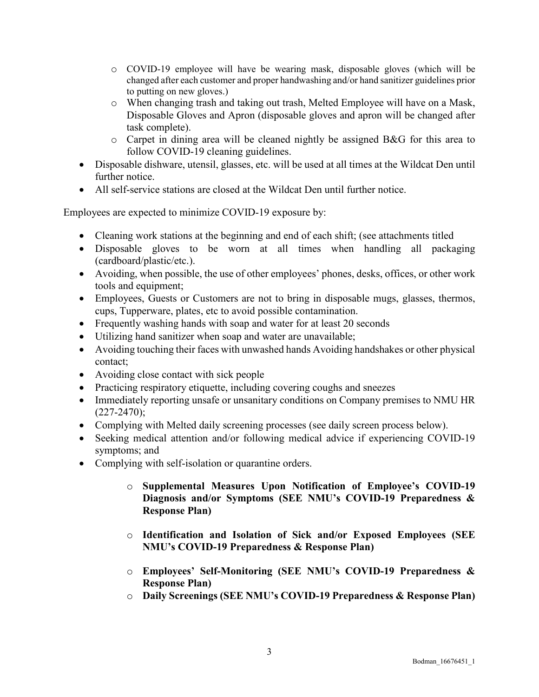- o COVID-19 employee will have be wearing mask, disposable gloves (which will be changed after each customer and proper handwashing and/or hand sanitizer guidelines prior to putting on new gloves.)
- o When changing trash and taking out trash, Melted Employee will have on a Mask, Disposable Gloves and Apron (disposable gloves and apron will be changed after task complete).
- o Carpet in dining area will be cleaned nightly be assigned B&G for this area to follow COVID-19 cleaning guidelines.
- Disposable dishware, utensil, glasses, etc. will be used at all times at the Wildcat Den until further notice.
- All self-service stations are closed at the Wildcat Den until further notice.

Employees are expected to minimize COVID-19 exposure by:

- Cleaning work stations at the beginning and end of each shift; (see attachments titled
- Disposable gloves to be worn at all times when handling all packaging (cardboard/plastic/etc.).
- Avoiding, when possible, the use of other employees' phones, desks, offices, or other work tools and equipment;
- Employees, Guests or Customers are not to bring in disposable mugs, glasses, thermos, cups, Tupperware, plates, etc to avoid possible contamination.
- Frequently washing hands with soap and water for at least 20 seconds
- Utilizing hand sanitizer when soap and water are unavailable;
- Avoiding touching their faces with unwashed hands Avoiding handshakes or other physical contact;
- Avoiding close contact with sick people
- Practicing respiratory etiquette, including covering coughs and sneezes
- Immediately reporting unsafe or unsanitary conditions on Company premises to NMU HR (227-2470);
- Complying with Melted daily screening processes (see daily screen process below).
- Seeking medical attention and/or following medical advice if experiencing COVID-19 symptoms; and
- Complying with self-isolation or quarantine orders.
	- o **Supplemental Measures Upon Notification of Employee's COVID-19 Diagnosis and/or Symptoms (SEE NMU's COVID-19 Preparedness & Response Plan)**
	- o **Identification and Isolation of Sick and/or Exposed Employees (SEE NMU's COVID-19 Preparedness & Response Plan)**
	- o **Employees' Self-Monitoring (SEE NMU's COVID-19 Preparedness & Response Plan)**
	- o **Daily Screenings (SEE NMU's COVID-19 Preparedness & Response Plan)**